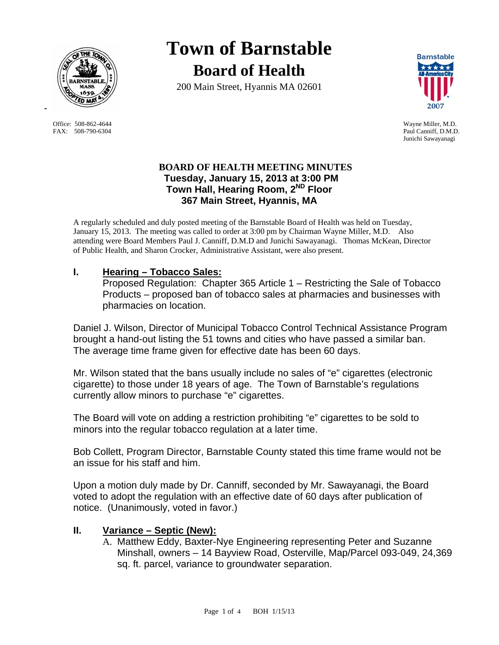

Office: 508-862-4644 Wayne Miller, M.D. FAX: 508-790-6304 Paul Canniff, D.M.D.

-

# **Town of Barnstable Board of Health**

200 Main Street, Hyannis MA 02601



Junichi Sawayanagi

### **BOARD OF HEALTH MEETING MINUTES Tuesday, January 15, 2013 at 3:00 PM Town Hall, Hearing Room, 2ND Floor 367 Main Street, Hyannis, MA**

A regularly scheduled and duly posted meeting of the Barnstable Board of Health was held on Tuesday, January 15, 2013. The meeting was called to order at 3:00 pm by Chairman Wayne Miller, M.D. Also attending were Board Members Paul J. Canniff, D.M.D and Junichi Sawayanagi. Thomas McKean, Director of Public Health, and Sharon Crocker, Administrative Assistant, were also present.

# **I. Hearing – Tobacco Sales:**

Proposed Regulation: Chapter 365 Article 1 – Restricting the Sale of Tobacco Products – proposed ban of tobacco sales at pharmacies and businesses with pharmacies on location.

Daniel J. Wilson, Director of Municipal Tobacco Control Technical Assistance Program brought a hand-out listing the 51 towns and cities who have passed a similar ban. The average time frame given for effective date has been 60 days.

Mr. Wilson stated that the bans usually include no sales of "e" cigarettes (electronic cigarette) to those under 18 years of age. The Town of Barnstable's regulations currently allow minors to purchase "e" cigarettes.

The Board will vote on adding a restriction prohibiting "e" cigarettes to be sold to minors into the regular tobacco regulation at a later time.

Bob Collett, Program Director, Barnstable County stated this time frame would not be an issue for his staff and him.

Upon a motion duly made by Dr. Canniff, seconded by Mr. Sawayanagi, the Board voted to adopt the regulation with an effective date of 60 days after publication of notice. (Unanimously, voted in favor.)

# **II. Variance – Septic (New):**

A. Matthew Eddy, Baxter-Nye Engineering representing Peter and Suzanne Minshall, owners – 14 Bayview Road, Osterville, Map/Parcel 093-049, 24,369 sq. ft. parcel, variance to groundwater separation.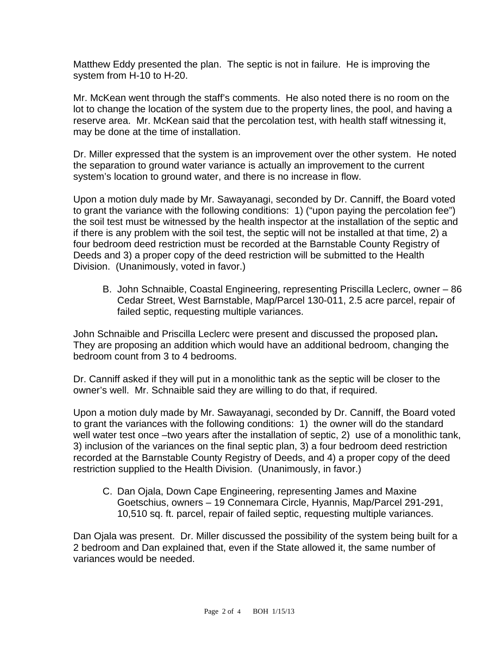Matthew Eddy presented the plan. The septic is not in failure. He is improving the system from H-10 to H-20.

Mr. McKean went through the staff's comments. He also noted there is no room on the lot to change the location of the system due to the property lines, the pool, and having a reserve area. Mr. McKean said that the percolation test, with health staff witnessing it, may be done at the time of installation.

Dr. Miller expressed that the system is an improvement over the other system. He noted the separation to ground water variance is actually an improvement to the current system's location to ground water, and there is no increase in flow.

Upon a motion duly made by Mr. Sawayanagi, seconded by Dr. Canniff, the Board voted to grant the variance with the following conditions: 1) ("upon paying the percolation fee") the soil test must be witnessed by the health inspector at the installation of the septic and if there is any problem with the soil test, the septic will not be installed at that time, 2) a four bedroom deed restriction must be recorded at the Barnstable County Registry of Deeds and 3) a proper copy of the deed restriction will be submitted to the Health Division. (Unanimously, voted in favor.)

B. John Schnaible, Coastal Engineering, representing Priscilla Leclerc, owner – 86 Cedar Street, West Barnstable, Map/Parcel 130-011, 2.5 acre parcel, repair of failed septic, requesting multiple variances.

John Schnaible and Priscilla Leclerc were present and discussed the proposed plan**.**  They are proposing an addition which would have an additional bedroom, changing the bedroom count from 3 to 4 bedrooms.

Dr. Canniff asked if they will put in a monolithic tank as the septic will be closer to the owner's well. Mr. Schnaible said they are willing to do that, if required.

Upon a motion duly made by Mr. Sawayanagi, seconded by Dr. Canniff, the Board voted to grant the variances with the following conditions: 1) the owner will do the standard well water test once –two years after the installation of septic, 2) use of a monolithic tank, 3) inclusion of the variances on the final septic plan, 3) a four bedroom deed restriction recorded at the Barnstable County Registry of Deeds, and 4) a proper copy of the deed restriction supplied to the Health Division. (Unanimously, in favor.)

C. Dan Ojala, Down Cape Engineering, representing James and Maxine Goetschius, owners – 19 Connemara Circle, Hyannis, Map/Parcel 291-291, 10,510 sq. ft. parcel, repair of failed septic, requesting multiple variances.

 Dan Ojala was present. Dr. Miller discussed the possibility of the system being built for a 2 bedroom and Dan explained that, even if the State allowed it, the same number of variances would be needed.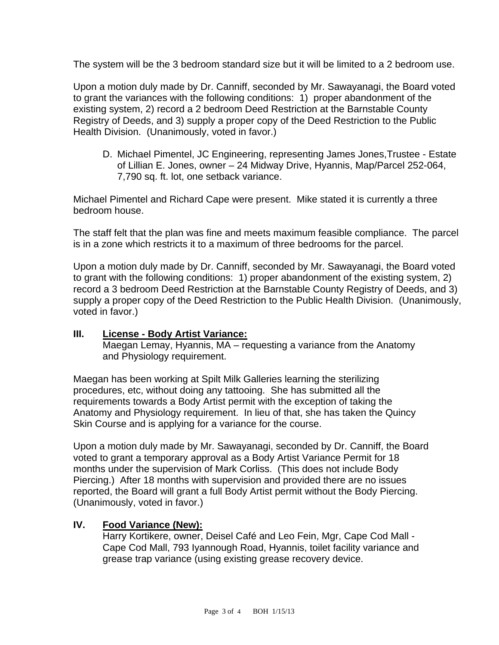The system will be the 3 bedroom standard size but it will be limited to a 2 bedroom use.

Upon a motion duly made by Dr. Canniff, seconded by Mr. Sawayanagi, the Board voted to grant the variances with the following conditions: 1) proper abandonment of the existing system, 2) record a 2 bedroom Deed Restriction at the Barnstable County Registry of Deeds, and 3) supply a proper copy of the Deed Restriction to the Public Health Division. (Unanimously, voted in favor.)

D. Michael Pimentel, JC Engineering, representing James Jones,Trustee - Estate of Lillian E. Jones, owner – 24 Midway Drive, Hyannis, Map/Parcel 252-064, 7,790 sq. ft. lot, one setback variance.

Michael Pimentel and Richard Cape were present. Mike stated it is currently a three bedroom house.

The staff felt that the plan was fine and meets maximum feasible compliance. The parcel is in a zone which restricts it to a maximum of three bedrooms for the parcel.

Upon a motion duly made by Dr. Canniff, seconded by Mr. Sawayanagi, the Board voted to grant with the following conditions: 1) proper abandonment of the existing system, 2) record a 3 bedroom Deed Restriction at the Barnstable County Registry of Deeds, and 3) supply a proper copy of the Deed Restriction to the Public Health Division. (Unanimously, voted in favor.)

### **III. License - Body Artist Variance:**

Maegan Lemay, Hyannis, MA – requesting a variance from the Anatomy and Physiology requirement.

Maegan has been working at Spilt Milk Galleries learning the sterilizing procedures, etc, without doing any tattooing. She has submitted all the requirements towards a Body Artist permit with the exception of taking the Anatomy and Physiology requirement. In lieu of that, she has taken the Quincy Skin Course and is applying for a variance for the course.

Upon a motion duly made by Mr. Sawayanagi, seconded by Dr. Canniff, the Board voted to grant a temporary approval as a Body Artist Variance Permit for 18 months under the supervision of Mark Corliss. (This does not include Body Piercing.) After 18 months with supervision and provided there are no issues reported, the Board will grant a full Body Artist permit without the Body Piercing. (Unanimously, voted in favor.)

#### **IV. Food Variance (New):**

Harry Kortikere, owner, Deisel Café and Leo Fein, Mgr, Cape Cod Mall - Cape Cod Mall, 793 Iyannough Road, Hyannis, toilet facility variance and grease trap variance (using existing grease recovery device.